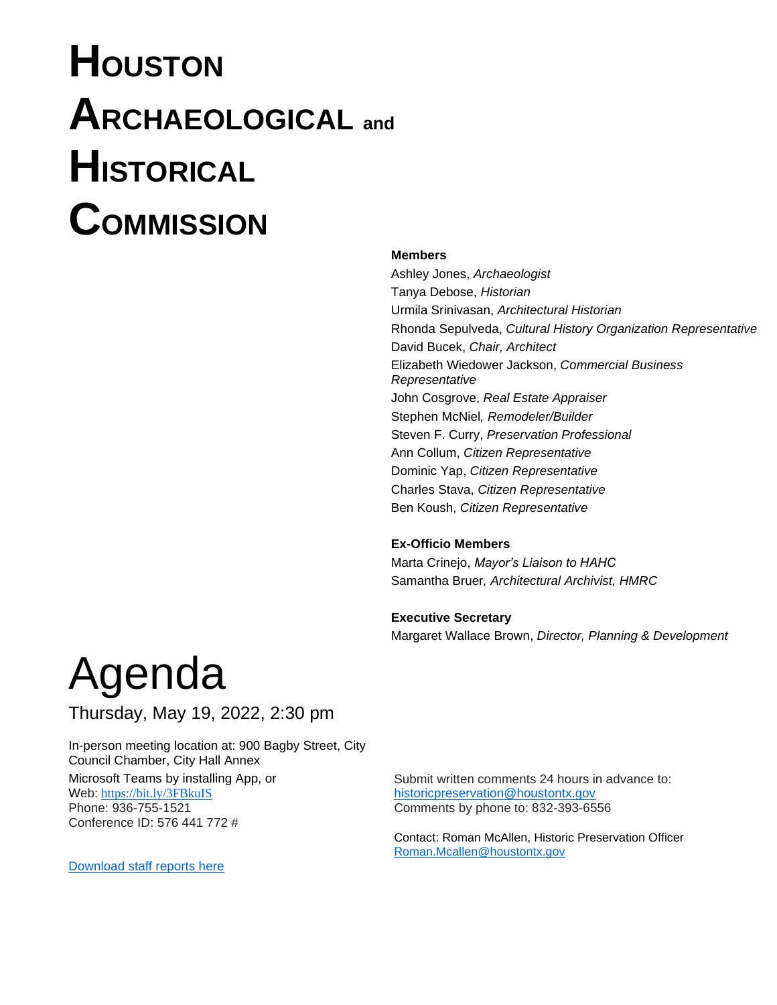# **HOUSTON ARCHAEOLOGICAL and HISTORICAL COMMISSION**

#### **Members**

Ashley Jones, *Archaeologist* Tanya Debose, *Historian* Urmila Srinivasan, *Architectural Historian* Rhonda Sepulveda, *Cultural History Organization Representative* David Bucek, *Chair, Architect* Elizabeth Wiedower Jackson, *Commercial Business Representative* John Cosgrove, *Real Estate Appraiser* Stephen McNiel*, Remodeler/Builder* Steven F. Curry, *Preservation Professional* Ann Collum, *Citizen Representative* Dominic Yap, *Citizen Representative*  Charles Stava, *Citizen Representative* Ben Koush, *Citizen Representative*

#### **Ex-Officio Members**

Marta Crinejo, *Mayor's Liaison to HAHC* Samantha Bruer*, Architectural Archivist, HMRC* 

#### **Executive Secretary**

Margaret Wallace Brown, *Director, Planning & Development*

# Agenda

Thursday, May 19, 2022, 2:30 pm

In-person meeting location at: 900 Bagby Street, City Council Chamber, City Hall Annex Microsoft Teams by installing App, or Web: <https://bit.ly/3FBkuIS> Phone: 936-755-1521 Conference ID: 576 441 772 #

Submit written comments 24 hours in advance to: [historicpreservation@houstontx.gov](mailto:historicpreservation@houstontx.gov) Comments by phone to: 832-393-6556

Contact: Roman McAllen, Historic Preservation Officer [Roman.Mcallen@houstontx.gov](mailto:Roman.Mcallen@houstontx.gov)

[Download staff reports here](https://www.houstontx.gov/planning/Commissions/commiss_hahc.html)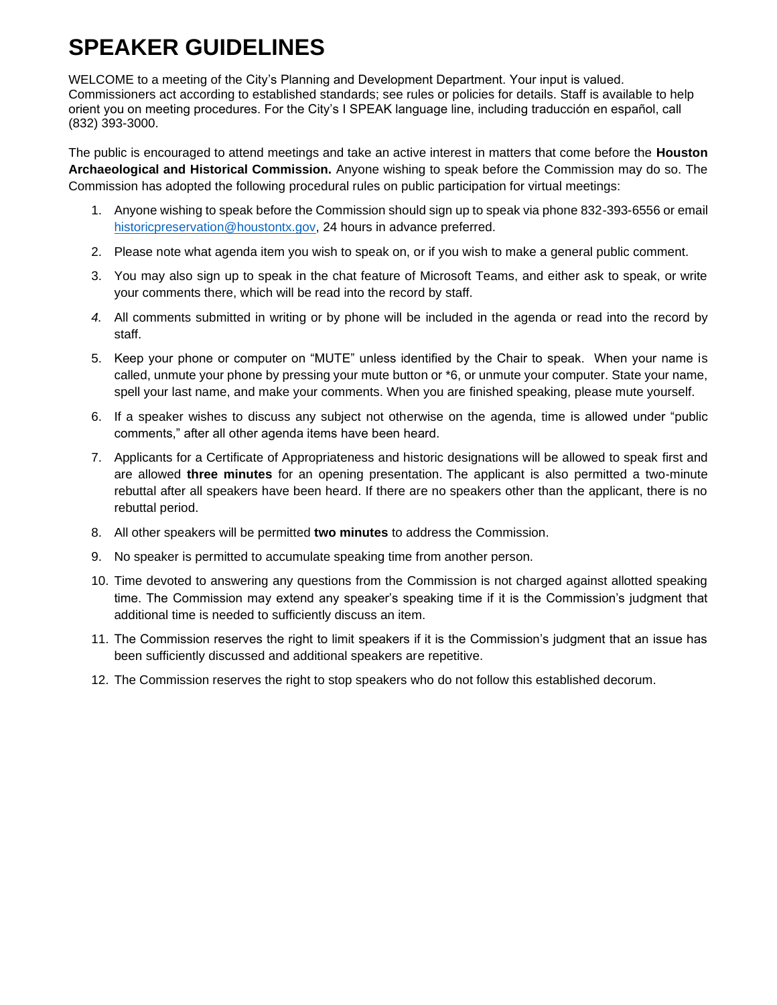## **SPEAKER GUIDELINES**

WELCOME to a meeting of the City's Planning and Development Department. Your input is valued. Commissioners act according to established standards; see rules or policies for details. Staff is available to help orient you on meeting procedures. For the City's I SPEAK language line, including traducción en español, call (832) 393-3000.

The public is encouraged to attend meetings and take an active interest in matters that come before the **Houston Archaeological and Historical Commission.** Anyone wishing to speak before the Commission may do so. The Commission has adopted the following procedural rules on public participation for virtual meetings:

- 1. Anyone wishing to speak before the Commission should sign up to speak via phone 832-393-6556 or email [historicpreservation@houstontx.gov,](mailto:historicpreservation@houstontx.gov) 24 hours in advance preferred.
- 2. Please note what agenda item you wish to speak on, or if you wish to make a general public comment.
- 3. You may also sign up to speak in the chat feature of Microsoft Teams, and either ask to speak, or write your comments there, which will be read into the record by staff.
- *4.* All comments submitted in writing or by phone will be included in the agenda or read into the record by staff.
- 5. Keep your phone or computer on "MUTE" unless identified by the Chair to speak. When your name is called, unmute your phone by pressing your mute button or \*6, or unmute your computer. State your name, spell your last name, and make your comments. When you are finished speaking, please mute yourself.
- 6. If a speaker wishes to discuss any subject not otherwise on the agenda, time is allowed under "public comments," after all other agenda items have been heard.
- 7. Applicants for a Certificate of Appropriateness and historic designations will be allowed to speak first and are allowed **three minutes** for an opening presentation. The applicant is also permitted a two-minute rebuttal after all speakers have been heard. If there are no speakers other than the applicant, there is no rebuttal period.
- 8. All other speakers will be permitted **two minutes** to address the Commission.
- 9. No speaker is permitted to accumulate speaking time from another person.
- 10. Time devoted to answering any questions from the Commission is not charged against allotted speaking time. The Commission may extend any speaker's speaking time if it is the Commission's judgment that additional time is needed to sufficiently discuss an item.
- 11. The Commission reserves the right to limit speakers if it is the Commission's judgment that an issue has been sufficiently discussed and additional speakers are repetitive.
- 12. The Commission reserves the right to stop speakers who do not follow this established decorum.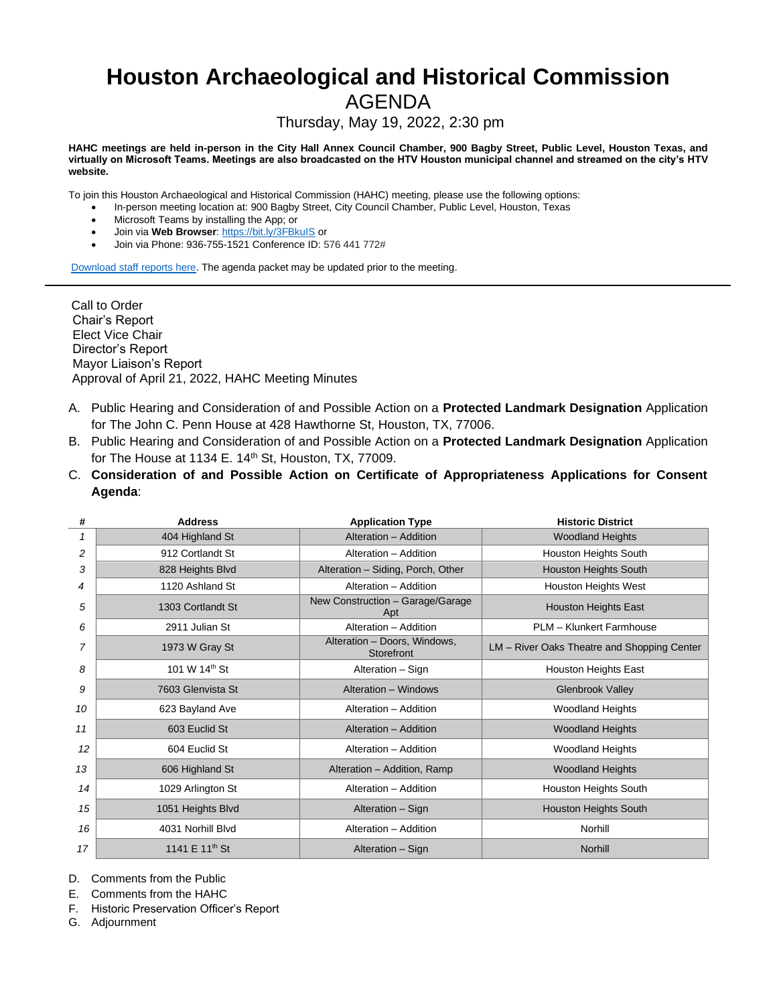# **Houston Archaeological and Historical Commission**

### AGENDA

Thursday, May 19, 2022, 2:30 pm

**HAHC meetings are held in-person in the City Hall Annex Council Chamber, 900 Bagby Street, Public Level, Houston Texas, and virtually on Microsoft Teams. Meetings are also broadcasted on the HTV Houston municipal channel and streamed on the city's HTV website.** 

To join this Houston Archaeological and Historical Commission (HAHC) meeting, please use the following options:

- In-person meeting location at: 900 Bagby Street, City Council Chamber, Public Level, Houston, Texas
- Microsoft Teams by installing the App; or
- Join via **Web Browser**:<https://bit.ly/3FBkuIS> or
- Join via Phone: 936-755-1521 Conference ID: 576 441 772#

[Download staff reports here.](https://www.houstontx.gov/planning/Commissions/commiss_hahc.html) The agenda packet may be updated prior to the meeting.

Call to Order Chair's Report Elect Vice Chair Director's Report Mayor Liaison's Report Approval of April 21, 2022, HAHC Meeting Minutes

- A. Public Hearing and Consideration of and Possible Action on a **Protected Landmark Designation** Application for The John C. Penn House at 428 Hawthorne St, Houston, TX, 77006.
- B. Public Hearing and Consideration of and Possible Action on a **Protected Landmark Designation** Application for The House at 1134 E.  $14<sup>th</sup>$  St, Houston, TX, 77009.
- C. **Consideration of and Possible Action on Certificate of Appropriateness Applications for Consent Agenda**:

| #  | <b>Address</b>             | <b>Application Type</b>                    | <b>Historic District</b>                    |
|----|----------------------------|--------------------------------------------|---------------------------------------------|
| 1  | 404 Highland St            | Alteration - Addition                      | <b>Woodland Heights</b>                     |
| 2  | 912 Cortlandt St           | Alteration - Addition                      | Houston Heights South                       |
| 3  | 828 Heights Blvd           | Alteration - Siding, Porch, Other          | <b>Houston Heights South</b>                |
| 4  | 1120 Ashland St            | Alteration - Addition                      | <b>Houston Heights West</b>                 |
| 5  | 1303 Cortlandt St          | New Construction - Garage/Garage<br>Apt    | <b>Houston Heights East</b>                 |
| 6  | 2911 Julian St             | Alteration - Addition                      | PLM - Klunkert Farmhouse                    |
| 7  | 1973 W Gray St             | Alteration - Doors, Windows,<br>Storefront | LM - River Oaks Theatre and Shopping Center |
| 8  | 101 W 14th St              | Alteration - Sign                          | <b>Houston Heights East</b>                 |
| 9  | 7603 Glenvista St          | Alteration - Windows                       | <b>Glenbrook Valley</b>                     |
| 10 | 623 Bayland Ave            | Alteration - Addition                      | <b>Woodland Heights</b>                     |
| 11 | 603 Euclid St              | Alteration - Addition                      | <b>Woodland Heights</b>                     |
| 12 | 604 Euclid St              | Alteration - Addition                      | <b>Woodland Heights</b>                     |
| 13 | 606 Highland St            | Alteration - Addition, Ramp                | <b>Woodland Heights</b>                     |
| 14 | 1029 Arlington St          | Alteration - Addition                      | Houston Heights South                       |
| 15 | 1051 Heights Blvd          | Alteration - Sign                          | <b>Houston Heights South</b>                |
| 16 | 4031 Norhill Blvd          | Alteration - Addition                      | Norhill                                     |
| 17 | 1141 E 11 <sup>th</sup> St | Alteration - Sign                          | <b>Norhill</b>                              |

D. Comments from the Public

E. Comments from the HAHC

F. Historic Preservation Officer's Report

G. Adjournment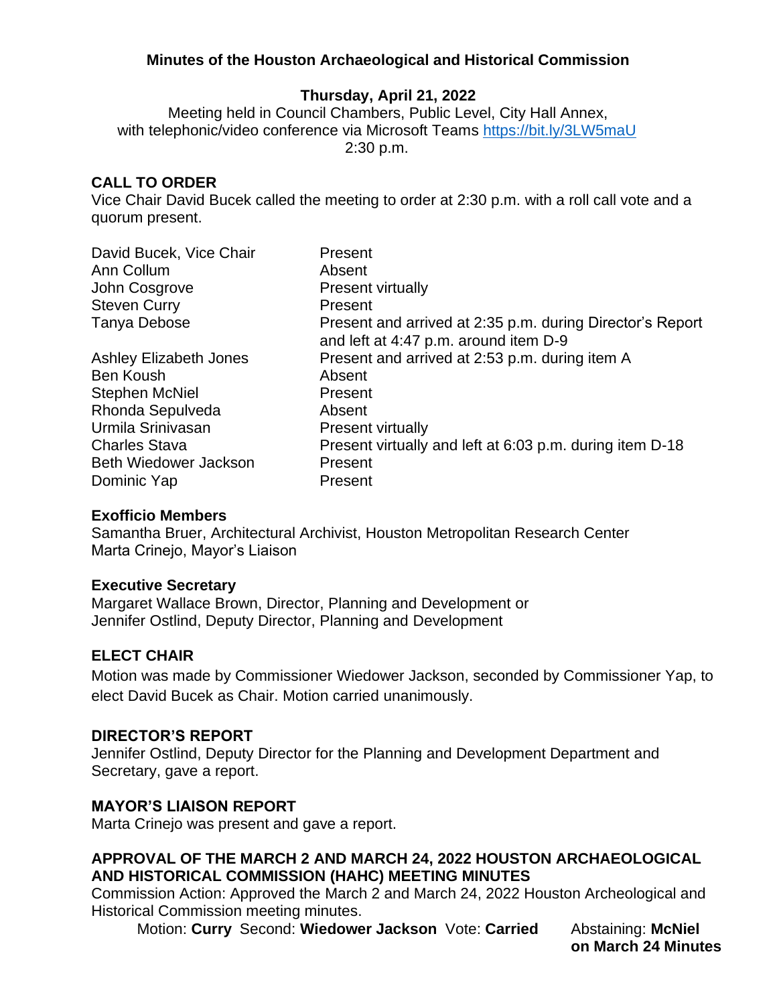#### **Minutes of the Houston Archaeological and Historical Commission**

#### **Thursday, April 21, 2022**

Meeting held in Council Chambers, Public Level, City Hall Annex, with telephonic/video conference via Microsoft Teams<https://bit.ly/3LW5maU> 2:30 p.m.

#### **CALL TO ORDER**

Vice Chair David Bucek called the meeting to order at 2:30 p.m. with a roll call vote and a quorum present.

| David Bucek, Vice Chair       | Present                                                                                            |
|-------------------------------|----------------------------------------------------------------------------------------------------|
| Ann Collum                    | Absent                                                                                             |
| John Cosgrove                 | <b>Present virtually</b>                                                                           |
| <b>Steven Curry</b>           | Present                                                                                            |
| Tanya Debose                  | Present and arrived at 2:35 p.m. during Director's Report<br>and left at 4:47 p.m. around item D-9 |
| <b>Ashley Elizabeth Jones</b> | Present and arrived at 2:53 p.m. during item A                                                     |
| Ben Koush                     | Absent                                                                                             |
| <b>Stephen McNiel</b>         | Present                                                                                            |
| Rhonda Sepulveda              | Absent                                                                                             |
| Urmila Srinivasan             | <b>Present virtually</b>                                                                           |
| <b>Charles Stava</b>          | Present virtually and left at 6:03 p.m. during item D-18                                           |
| <b>Beth Wiedower Jackson</b>  | Present                                                                                            |
| Dominic Yap                   | Present                                                                                            |

#### **Exofficio Members**

Samantha Bruer, Architectural Archivist, Houston Metropolitan Research Center Marta Crinejo, Mayor's Liaison

#### **Executive Secretary**

Margaret Wallace Brown, Director, Planning and Development or Jennifer Ostlind, Deputy Director, Planning and Development

#### **ELECT CHAIR**

Motion was made by Commissioner Wiedower Jackson, seconded by Commissioner Yap, to elect David Bucek as Chair. Motion carried unanimously.

#### **DIRECTOR'S REPORT**

Jennifer Ostlind, Deputy Director for the Planning and Development Department and Secretary, gave a report.

#### **MAYOR'S LIAISON REPORT**

Marta Crinejo was present and gave a report.

#### **APPROVAL OF THE MARCH 2 AND MARCH 24, 2022 HOUSTON ARCHAEOLOGICAL AND HISTORICAL COMMISSION (HAHC) MEETING MINUTES**

Commission Action: Approved the March 2 and March 24, 2022 Houston Archeological and Historical Commission meeting minutes.

Motion: **Curry** Second: **Wiedower Jackson** Vote: **Carried** Abstaining: **McNiel**

**on March 24 Minutes**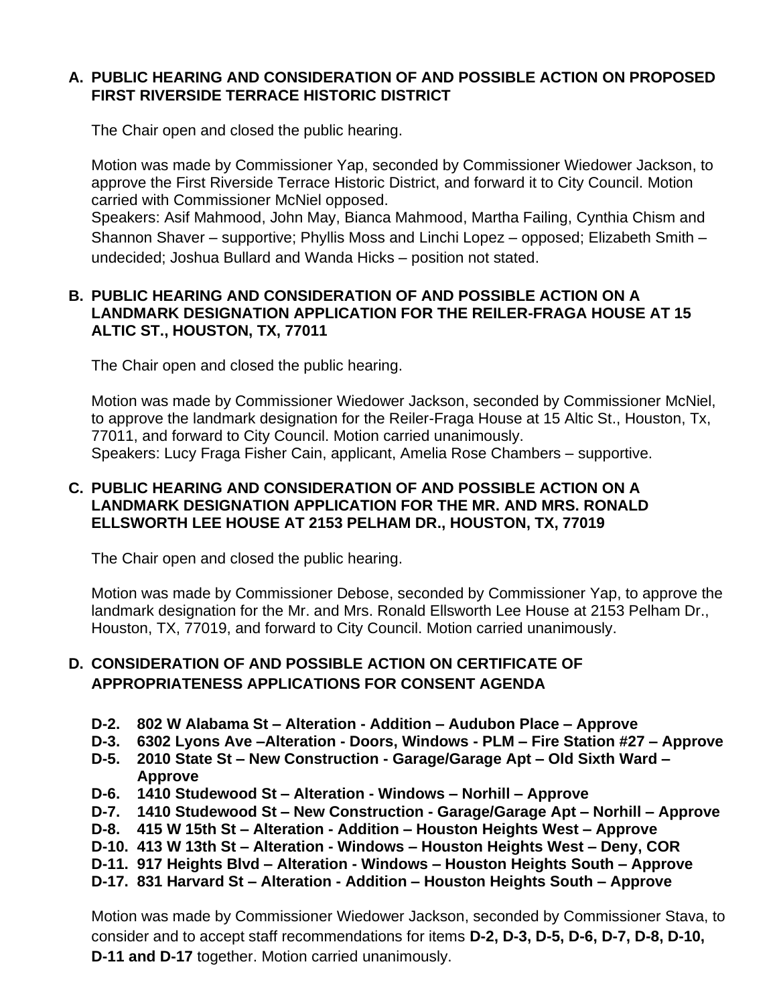#### **A. PUBLIC HEARING AND CONSIDERATION OF AND POSSIBLE ACTION ON PROPOSED FIRST RIVERSIDE TERRACE HISTORIC DISTRICT**

The Chair open and closed the public hearing.

Motion was made by Commissioner Yap, seconded by Commissioner Wiedower Jackson, to approve the First Riverside Terrace Historic District, and forward it to City Council. Motion carried with Commissioner McNiel opposed.

Speakers: Asif Mahmood, John May, Bianca Mahmood, Martha Failing, Cynthia Chism and Shannon Shaver – supportive; Phyllis Moss and Linchi Lopez – opposed; Elizabeth Smith – undecided; Joshua Bullard and Wanda Hicks – position not stated.

#### **B. PUBLIC HEARING AND CONSIDERATION OF AND POSSIBLE ACTION ON A LANDMARK DESIGNATION APPLICATION FOR THE REILER-FRAGA HOUSE AT 15 ALTIC ST., HOUSTON, TX, 77011**

The Chair open and closed the public hearing.

Motion was made by Commissioner Wiedower Jackson, seconded by Commissioner McNiel, to approve the landmark designation for the Reiler-Fraga House at 15 Altic St., Houston, Tx, 77011, and forward to City Council. Motion carried unanimously. Speakers: Lucy Fraga Fisher Cain, applicant, Amelia Rose Chambers – supportive.

#### **C. PUBLIC HEARING AND CONSIDERATION OF AND POSSIBLE ACTION ON A LANDMARK DESIGNATION APPLICATION FOR THE MR. AND MRS. RONALD ELLSWORTH LEE HOUSE AT 2153 PELHAM DR., HOUSTON, TX, 77019**

The Chair open and closed the public hearing.

Motion was made by Commissioner Debose, seconded by Commissioner Yap, to approve the landmark designation for the Mr. and Mrs. Ronald Ellsworth Lee House at 2153 Pelham Dr., Houston, TX, 77019, and forward to City Council. Motion carried unanimously.

#### **D. CONSIDERATION OF AND POSSIBLE ACTION ON CERTIFICATE OF APPROPRIATENESS APPLICATIONS FOR CONSENT AGENDA**

- **D-2. 802 W Alabama St – Alteration - Addition – Audubon Place – Approve**
- **D-3. 6302 Lyons Ave –Alteration - Doors, Windows - PLM – Fire Station #27 – Approve**
- **D-5. 2010 State St – New Construction - Garage/Garage Apt – Old Sixth Ward – Approve**
- **D-6. 1410 Studewood St – Alteration - Windows – Norhill – Approve**
- **D-7. 1410 Studewood St – New Construction - Garage/Garage Apt – Norhill – Approve**
- **D-8. 415 W 15th St – Alteration - Addition – Houston Heights West – Approve**
- **D-10. 413 W 13th St – Alteration - Windows – Houston Heights West – Deny, COR**
- **D-11. 917 Heights Blvd – Alteration - Windows – Houston Heights South – Approve**
- **D-17. 831 Harvard St – Alteration - Addition – Houston Heights South – Approve**

Motion was made by Commissioner Wiedower Jackson, seconded by Commissioner Stava, to consider and to accept staff recommendations for items **D-2, D-3, D-5, D-6, D-7, D-8, D-10, D-11 and D-17** together. Motion carried unanimously.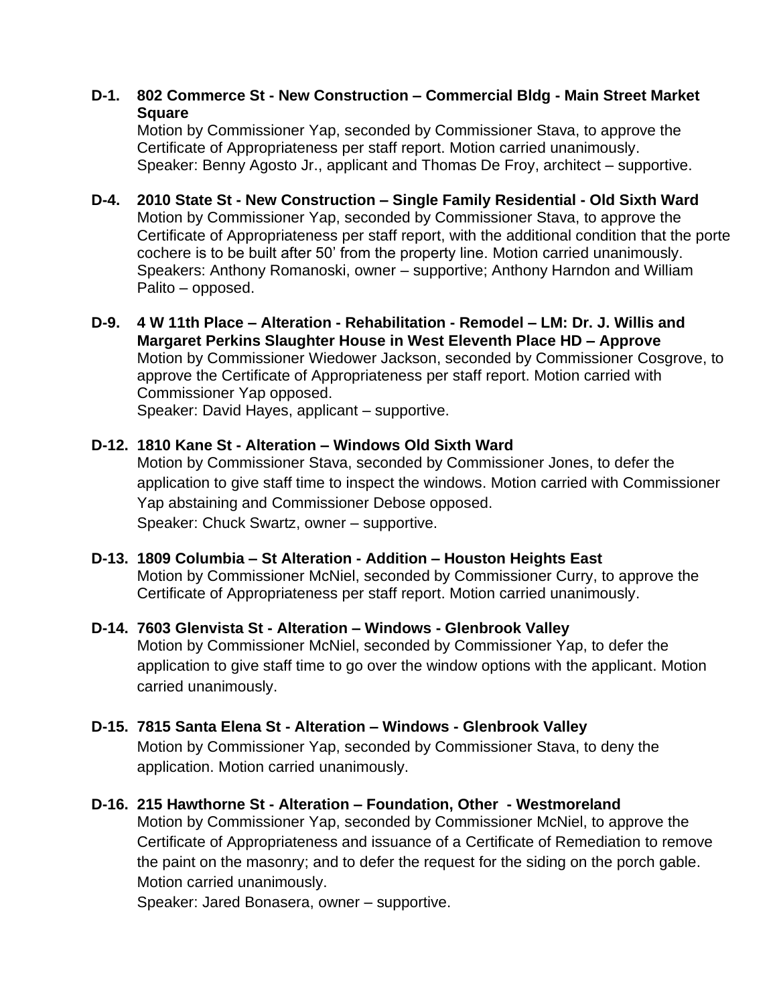#### **D-1. 802 Commerce St - New Construction – Commercial Bldg - Main Street Market Square**

Motion by Commissioner Yap, seconded by Commissioner Stava, to approve the Certificate of Appropriateness per staff report. Motion carried unanimously. Speaker: Benny Agosto Jr., applicant and Thomas De Froy, architect – supportive.

- **D-4. 2010 State St - New Construction – Single Family Residential - Old Sixth Ward** Motion by Commissioner Yap, seconded by Commissioner Stava, to approve the Certificate of Appropriateness per staff report, with the additional condition that the porte cochere is to be built after 50' from the property line. Motion carried unanimously. Speakers: Anthony Romanoski, owner – supportive; Anthony Harndon and William Palito – opposed.
- **D-9. 4 W 11th Place – Alteration - Rehabilitation - Remodel – LM: Dr. J. Willis and Margaret Perkins Slaughter House in West Eleventh Place HD – Approve** Motion by Commissioner Wiedower Jackson, seconded by Commissioner Cosgrove, to approve the Certificate of Appropriateness per staff report. Motion carried with Commissioner Yap opposed. Speaker: David Hayes, applicant – supportive.

**D-12. 1810 Kane St - Alteration – Windows Old Sixth Ward** 

Motion by Commissioner Stava, seconded by Commissioner Jones, to defer the application to give staff time to inspect the windows. Motion carried with Commissioner Yap abstaining and Commissioner Debose opposed. Speaker: Chuck Swartz, owner – supportive.

**D-13. 1809 Columbia – St Alteration - Addition – Houston Heights East** Motion by Commissioner McNiel, seconded by Commissioner Curry, to approve the Certificate of Appropriateness per staff report. Motion carried unanimously.

### **D-14. 7603 Glenvista St - Alteration – Windows - Glenbrook Valley**

Motion by Commissioner McNiel, seconded by Commissioner Yap, to defer the application to give staff time to go over the window options with the applicant. Motion carried unanimously.

- **D-15. 7815 Santa Elena St - Alteration – Windows - Glenbrook Valley** Motion by Commissioner Yap, seconded by Commissioner Stava, to deny the application. Motion carried unanimously.
- **D-16. 215 Hawthorne St - Alteration – Foundation, Other - Westmoreland** Motion by Commissioner Yap, seconded by Commissioner McNiel, to approve the Certificate of Appropriateness and issuance of a Certificate of Remediation to remove the paint on the masonry; and to defer the request for the siding on the porch gable. Motion carried unanimously.

Speaker: Jared Bonasera, owner – supportive.